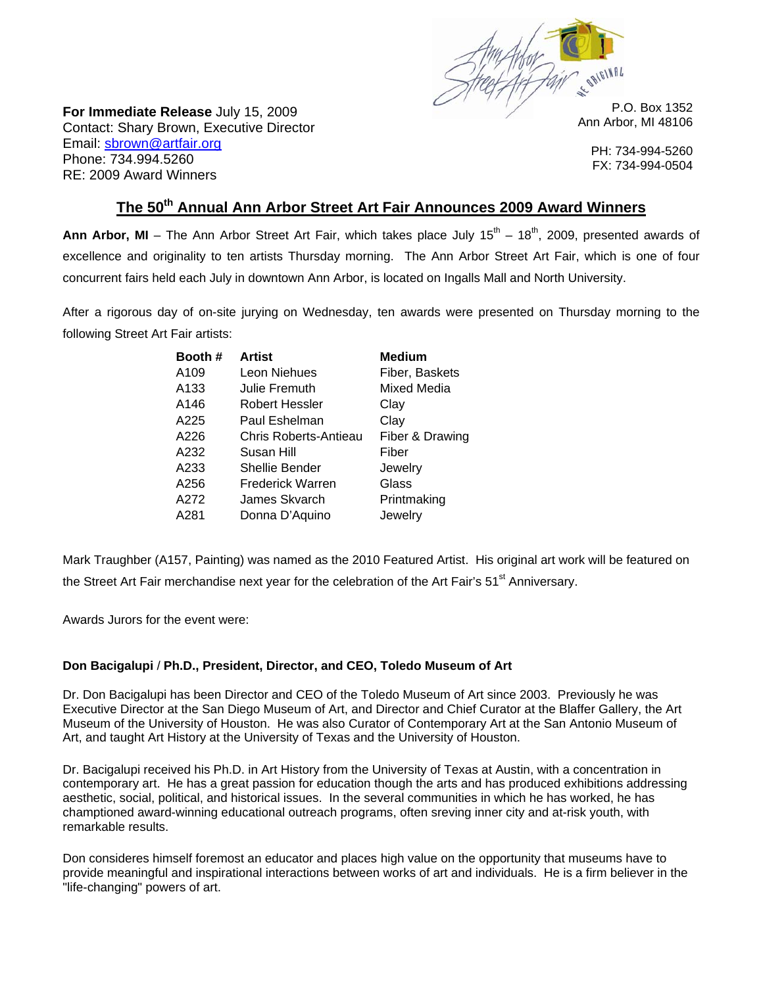

**For Immediate Release** July 15, 2009 Contact: Shary Brown, Executive Director Email: sbrown@artfair.org Phone: 734.994.5260 RE: 2009 Award Winners

P.O. Box 1352 Ann Arbor, MI 48106

PH: 734-994-5260 FX: 734-994-0504

## The 50<sup>th</sup> Annual Ann Arbor Street Art Fair Announces 2009 Award Winners

Ann Arbor, MI – The Ann Arbor Street Art Fair, which takes place July 15<sup>th</sup> – 18<sup>th</sup>, 2009, presented awards of excellence and originality to ten artists Thursday morning. The Ann Arbor Street Art Fair, which is one of four concurrent fairs held each July in downtown Ann Arbor, is located on Ingalls Mall and North University.

After a rigorous day of on-site jurying on Wednesday, ten awards were presented on Thursday morning to the following Street Art Fair artists:

| Booth # | <b>Artist</b>           | <b>Medium</b>   |
|---------|-------------------------|-----------------|
| A109    | Leon Niehues            | Fiber, Baskets  |
| A133    | Julie Fremuth           | Mixed Media     |
| A146    | Robert Hessler          | Clay            |
| A225    | Paul Eshelman           | Clay            |
| A226    | Chris Roberts-Antieau   | Fiber & Drawing |
| A232    | Susan Hill              | Fiber           |
| A233    | Shellie Bender          | Jewelry         |
| A256    | <b>Frederick Warren</b> | Glass           |
| A272    | James Skvarch           | Printmaking     |
| A281    | Donna D'Aquino          | Jewelry         |

Mark Traughber (A157, Painting) was named as the 2010 Featured Artist. His original art work will be featured on the Street Art Fair merchandise next year for the celebration of the Art Fair's 51<sup>st</sup> Anniversary.

Awards Jurors for the event were:

## **Don Bacigalupi** / **Ph.D., President, Director, and CEO, Toledo Museum of Art**

Dr. Don Bacigalupi has been Director and CEO of the Toledo Museum of Art since 2003. Previously he was Executive Director at the San Diego Museum of Art, and Director and Chief Curator at the Blaffer Gallery, the Art Museum of the University of Houston. He was also Curator of Contemporary Art at the San Antonio Museum of Art, and taught Art History at the University of Texas and the University of Houston.

Dr. Bacigalupi received his Ph.D. in Art History from the University of Texas at Austin, with a concentration in contemporary art. He has a great passion for education though the arts and has produced exhibitions addressing aesthetic, social, political, and historical issues. In the several communities in which he has worked, he has champtioned award-winning educational outreach programs, often sreving inner city and at-risk youth, with remarkable results.

Don consideres himself foremost an educator and places high value on the opportunity that museums have to provide meaningful and inspirational interactions between works of art and individuals. He is a firm believer in the "life-changing" powers of art.